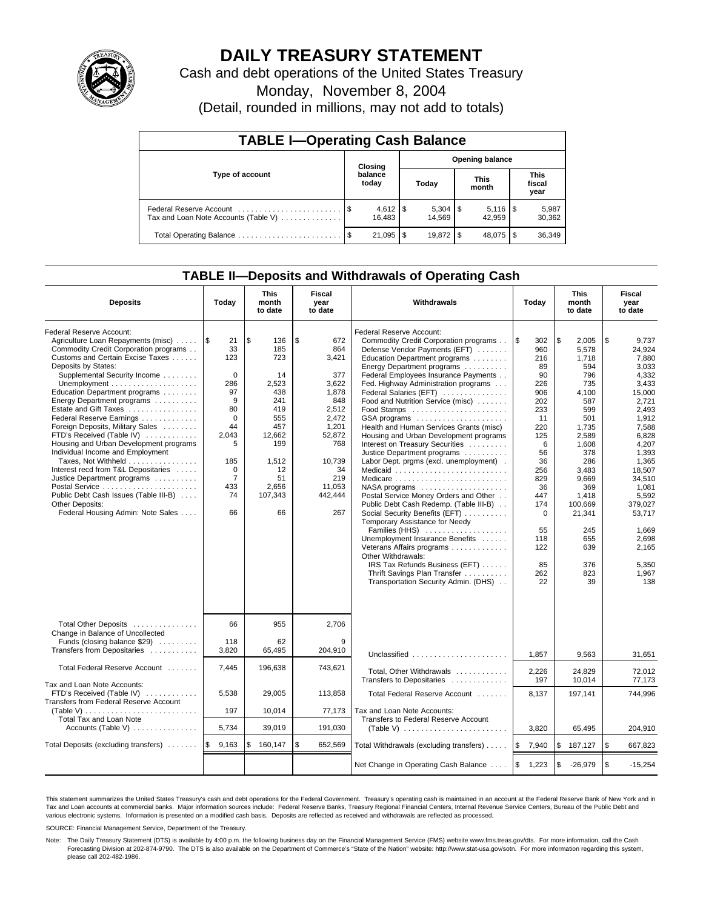

# **DAILY TREASURY STATEMENT**

Cash and debt operations of the United States Treasury

Monday, November 8, 2004

(Detail, rounded in millions, may not add to totals)

| <b>TABLE I-Operating Cash Balance</b>                           |  |                                   |     |        |  |                      |                               |                 |  |  |
|-----------------------------------------------------------------|--|-----------------------------------|-----|--------|--|----------------------|-------------------------------|-----------------|--|--|
| Type of account                                                 |  | <b>Opening balance</b><br>Closing |     |        |  |                      |                               |                 |  |  |
|                                                                 |  | balance<br>today                  |     | Today  |  | <b>This</b><br>month | <b>This</b><br>fiscal<br>year |                 |  |  |
| Federal Reserve Account<br>Tax and Loan Note Accounts (Table V) |  | $4,612$   \$<br>16.483            |     | 14.569 |  | 42.959               |                               | 5,987<br>30,362 |  |  |
| Total Operating Balance                                         |  | 21,095                            | \$. |        |  | 48.075               | 1 S                           | 36,349          |  |  |

## **TABLE II—Deposits and Withdrawals of Operating Cash**

| <b>Deposits</b>                                                                                                                                                                                                                                                                                                                                                                                                                                                                                                                                                                                                                                                            | Today                                                                                                                                                    | <b>This</b><br>month<br>to date                                                                                                           | Fiscal<br>year<br>to date                                                                                                                                | Withdrawals                                                                                                                                                                                                                                                                                                                                                                                                                                                                                                                                                                                                                                                                                                                                                                                                                                                                                                                                             | Today                                                                                                                                                                                       | <b>This</b><br>month<br>to date                                                                                                                                                                                           | Fiscal<br>year<br>to date                                                                                                                                                                                                                                  |  |
|----------------------------------------------------------------------------------------------------------------------------------------------------------------------------------------------------------------------------------------------------------------------------------------------------------------------------------------------------------------------------------------------------------------------------------------------------------------------------------------------------------------------------------------------------------------------------------------------------------------------------------------------------------------------------|----------------------------------------------------------------------------------------------------------------------------------------------------------|-------------------------------------------------------------------------------------------------------------------------------------------|----------------------------------------------------------------------------------------------------------------------------------------------------------|---------------------------------------------------------------------------------------------------------------------------------------------------------------------------------------------------------------------------------------------------------------------------------------------------------------------------------------------------------------------------------------------------------------------------------------------------------------------------------------------------------------------------------------------------------------------------------------------------------------------------------------------------------------------------------------------------------------------------------------------------------------------------------------------------------------------------------------------------------------------------------------------------------------------------------------------------------|---------------------------------------------------------------------------------------------------------------------------------------------------------------------------------------------|---------------------------------------------------------------------------------------------------------------------------------------------------------------------------------------------------------------------------|------------------------------------------------------------------------------------------------------------------------------------------------------------------------------------------------------------------------------------------------------------|--|
| Federal Reserve Account:<br>Agriculture Loan Repayments (misc)<br>Commodity Credit Corporation programs<br>Customs and Certain Excise Taxes<br>Deposits by States:<br>Supplemental Security Income<br>Education Department programs<br>Energy Department programs<br>Estate and Gift Taxes<br>Federal Reserve Earnings<br>Foreign Deposits, Military Sales<br>FTD's Received (Table IV)<br>Housing and Urban Development programs<br>Individual Income and Employment<br>Taxes, Not Withheld<br>Interest recd from T&L Depositaries<br>Justice Department programs<br>Public Debt Cash Issues (Table III-B)<br><b>Other Deposits:</b><br>Federal Housing Admin: Note Sales | 1\$<br>21<br>33<br>123<br>$\mathbf 0$<br>286<br>97<br>9<br>80<br>$\Omega$<br>44<br>2,043<br>5<br>185<br>$\mathbf 0$<br>$\overline{7}$<br>433<br>74<br>66 | \$<br>136<br>185<br>723<br>14<br>2,523<br>438<br>241<br>419<br>555<br>457<br>12,662<br>199<br>1,512<br>12<br>51<br>2,656<br>107,343<br>66 | \$<br>672<br>864<br>3,421<br>377<br>3,622<br>1,878<br>848<br>2.512<br>2,472<br>1,201<br>52,872<br>768<br>10,739<br>34<br>219<br>11,053<br>442,444<br>267 | Federal Reserve Account:<br>Commodity Credit Corporation programs<br>Defense Vendor Payments (EFT)<br>Education Department programs<br>Energy Department programs<br>Federal Employees Insurance Payments<br>Fed. Highway Administration programs<br>Federal Salaries (EFT)<br>Food and Nutrition Service (misc)<br>Food Stamps<br>GSA programs<br>Health and Human Services Grants (misc)<br>Housing and Urban Development programs<br>Interest on Treasury Securities<br>Justice Department programs<br>Labor Dept. prgms (excl. unemployment).<br>Medicaid<br>NASA programs<br>Postal Service Money Orders and Other<br>Public Debt Cash Redemp. (Table III-B)<br>Social Security Benefits (EFT)<br>Temporary Assistance for Needy<br>Families (HHS)<br>Unemployment Insurance Benefits<br>Veterans Affairs programs<br>Other Withdrawals:<br>IRS Tax Refunds Business (EFT)<br>Thrift Savings Plan Transfer<br>Transportation Security Admin. (DHS) | l \$<br>302<br>960<br>216<br>89<br>90<br>226<br>906<br>202<br>233<br>11<br>220<br>125<br>6<br>56<br>36<br>256<br>829<br>36<br>447<br>174<br>$\Omega$<br>55<br>118<br>122<br>85<br>262<br>22 | \$<br>2.005<br>5.578<br>1,718<br>594<br>796<br>735<br>4.100<br>587<br>599<br>501<br>1,735<br>2,589<br>1,608<br>378<br>286<br>3,483<br>9,669<br>369<br>1,418<br>100.669<br>21,341<br>245<br>655<br>639<br>376<br>823<br>39 | \$<br>9.737<br>24.924<br>7,880<br>3,033<br>4,332<br>3,433<br>15.000<br>2.721<br>2.493<br>1,912<br>7,588<br>6,828<br>4,207<br>1,393<br>1.365<br>18.507<br>34,510<br>1,081<br>5,592<br>379.027<br>53,717<br>1,669<br>2,698<br>2,165<br>5,350<br>1,967<br>138 |  |
| Total Other Deposits<br>Change in Balance of Uncollected<br>Funds (closing balance \$29)<br>Transfers from Depositaries                                                                                                                                                                                                                                                                                                                                                                                                                                                                                                                                                    | 66<br>118<br>3,820                                                                                                                                       | 955<br>62<br>65,495                                                                                                                       | 2,706<br>9<br>204,910                                                                                                                                    | Unclassified                                                                                                                                                                                                                                                                                                                                                                                                                                                                                                                                                                                                                                                                                                                                                                                                                                                                                                                                            | 1,857                                                                                                                                                                                       | 9,563                                                                                                                                                                                                                     | 31,651                                                                                                                                                                                                                                                     |  |
| Total Federal Reserve Account                                                                                                                                                                                                                                                                                                                                                                                                                                                                                                                                                                                                                                              | 7,445                                                                                                                                                    | 196,638                                                                                                                                   | 743,621                                                                                                                                                  | Total, Other Withdrawals                                                                                                                                                                                                                                                                                                                                                                                                                                                                                                                                                                                                                                                                                                                                                                                                                                                                                                                                | 2,226                                                                                                                                                                                       | 24,829                                                                                                                                                                                                                    | 72.012                                                                                                                                                                                                                                                     |  |
| Tax and Loan Note Accounts:<br>FTD's Received (Table IV)<br>Transfers from Federal Reserve Account<br>(Table V)<br>Total Tax and Loan Note                                                                                                                                                                                                                                                                                                                                                                                                                                                                                                                                 | 5,538<br>197                                                                                                                                             | 29,005<br>10.014                                                                                                                          | 113,858<br>77,173                                                                                                                                        | Transfers to Depositaries<br>Total Federal Reserve Account<br>Tax and Loan Note Accounts:<br>Transfers to Federal Reserve Account                                                                                                                                                                                                                                                                                                                                                                                                                                                                                                                                                                                                                                                                                                                                                                                                                       | 197<br>8,137                                                                                                                                                                                | 10,014<br>197,141                                                                                                                                                                                                         | 77,173<br>744,996                                                                                                                                                                                                                                          |  |
| Accounts (Table V)                                                                                                                                                                                                                                                                                                                                                                                                                                                                                                                                                                                                                                                         | 5,734                                                                                                                                                    | 39,019                                                                                                                                    | 191,030                                                                                                                                                  |                                                                                                                                                                                                                                                                                                                                                                                                                                                                                                                                                                                                                                                                                                                                                                                                                                                                                                                                                         | 3.820                                                                                                                                                                                       | 65,495                                                                                                                                                                                                                    | 204,910                                                                                                                                                                                                                                                    |  |
| Total Deposits (excluding transfers)                                                                                                                                                                                                                                                                                                                                                                                                                                                                                                                                                                                                                                       | ۱\$<br>9,163                                                                                                                                             | \$<br>160,147                                                                                                                             | \$<br>652,569                                                                                                                                            | Total Withdrawals (excluding transfers)                                                                                                                                                                                                                                                                                                                                                                                                                                                                                                                                                                                                                                                                                                                                                                                                                                                                                                                 | ۱\$<br>7,940                                                                                                                                                                                | \$<br>187,127                                                                                                                                                                                                             | \$<br>667,823                                                                                                                                                                                                                                              |  |
|                                                                                                                                                                                                                                                                                                                                                                                                                                                                                                                                                                                                                                                                            |                                                                                                                                                          |                                                                                                                                           |                                                                                                                                                          | Net Change in Operating Cash Balance                                                                                                                                                                                                                                                                                                                                                                                                                                                                                                                                                                                                                                                                                                                                                                                                                                                                                                                    | <b>S</b><br>1,223                                                                                                                                                                           | \$<br>$-26,979$                                                                                                                                                                                                           | \$<br>$-15,254$                                                                                                                                                                                                                                            |  |

This statement summarizes the United States Treasury's cash and debt operations for the Federal Government. Treasury's operating cash is maintained in an account at the Federal Reserve Bank of New York and in Tax and Loan accounts at commercial banks. Major information sources include: Federal Reserve Banks, Treasury Regional Financial Centers, Internal Revenue Service Centers, Bureau of the Public Debt and<br>various electronic s

SOURCE: Financial Management Service, Department of the Treasury.

Note: The Daily Treasury Statement (DTS) is available by 4:00 p.m. the following business day on the Financial Management Service (FMS) website www.fms.treas.gov/dts. For more information, call the Cash Forecasting Division at 202-874-9790. The DTS is also available on the Department of Commerce's "State of the Nation" website: http://www.stat-usa.gov/sotn. For more information regarding this system, please call 202-482-1986.